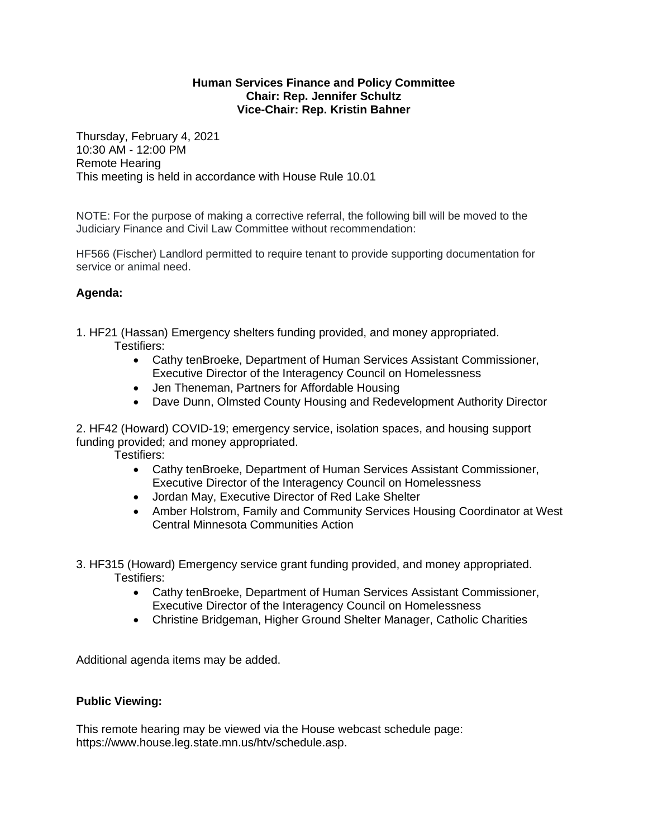## **Human Services Finance and Policy Committee Chair: Rep. Jennifer Schultz Vice-Chair: Rep. Kristin Bahner**

Thursday, February 4, 2021 10:30 AM - 12:00 PM Remote Hearing This meeting is held in accordance with House Rule 10.01

NOTE: For the purpose of making a corrective referral, the following bill will be moved to the Judiciary Finance and Civil Law Committee without recommendation:

HF566 (Fischer) Landlord permitted to require tenant to provide supporting documentation for service or animal need.

## **Agenda:**

- 1. HF21 (Hassan) Emergency shelters funding provided, and money appropriated. Testifiers:
	- Cathy tenBroeke, Department of Human Services Assistant Commissioner, Executive Director of the Interagency Council on Homelessness
	- Jen Theneman, Partners for Affordable Housing
	- Dave Dunn, Olmsted County Housing and Redevelopment Authority Director

2. HF42 (Howard) COVID-19; emergency service, isolation spaces, and housing support funding provided; and money appropriated.

Testifiers:

- Cathy tenBroeke, Department of Human Services Assistant Commissioner, Executive Director of the Interagency Council on Homelessness
- Jordan May, Executive Director of Red Lake Shelter
- Amber Holstrom, Family and Community Services Housing Coordinator at West Central Minnesota Communities Action
- 3. HF315 (Howard) Emergency service grant funding provided, and money appropriated. Testifiers:
	- Cathy tenBroeke, Department of Human Services Assistant Commissioner, Executive Director of the Interagency Council on Homelessness
	- Christine Bridgeman, Higher Ground Shelter Manager, Catholic Charities

Additional agenda items may be added.

## **Public Viewing:**

This remote hearing may be viewed via the House webcast schedule page: https://www.house.leg.state.mn.us/htv/schedule.asp.